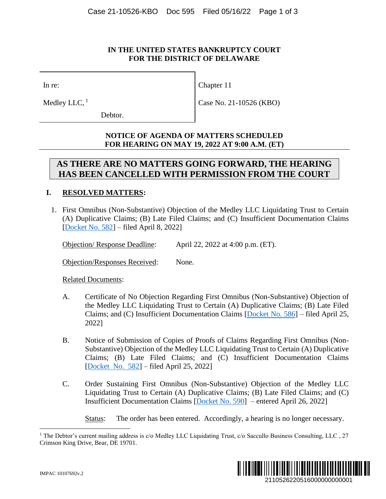## **IN THE UNITED STATES BANKRUPTCY COURT FOR THE DISTRICT OF DELAWARE**

In re:

Medley LLC,  $<sup>1</sup>$ </sup>

Debtor.

Case No. 21-10526 (KBO)

Chapter 11

## **NOTICE OF AGENDA OF MATTERS SCHEDULED FOR HEARING ON MAY 19, 2022 AT 9:00 A.M. (ET)**

## **AS THERE ARE NO MATTERS GOING FORWARD, THE HEARING HAS BEEN CANCELLED WITH PERMISSION FROM THE COURT**

## **I. RESOLVED MATTERS:**

1. First Omnibus (Non-Substantive) Objection of the Medley LLC Liquidating Trust to Certain (A) Duplicative Claims; (B) Late Filed Claims; and (C) Insufficient Documentation Claims [\[Docket No. 582\]](https://ecf.deb.uscourts.gov/doc1/042020353347) – filed April 8, 2022]

Objection/ Response Deadline: April 22, 2022 at 4:00 p.m. (ET).

Objection/Responses Received: None.

Related Documents:

- A. Certificate of No Objection Regarding First Omnibus (Non-Substantive) Objection of the Medley LLC Liquidating Trust to Certain (A) Duplicative Claims; (B) Late Filed Claims; and (C) Insufficient Documentation Claims [\[Docket No. 586\]](https://ecf.deb.uscourts.gov/doc1/042020375901) – filed April 25, 2022]
- B. Notice of Submission of Copies of Proofs of Claims Regarding First Omnibus (Non-Substantive) Objection of the Medley LLC Liquidating Trust to Certain (A) Duplicative Claims; (B) Late Filed Claims; and (C) Insufficient Documentation Claims [\[Docket](https://ecf.deb.uscourts.gov/doc1/042020376049) No. 582] – filed April 25, 2022]
- C. Order Sustaining First Omnibus (Non-Substantive) Objection of the Medley LLC Liquidating Trust to Certain (A) Duplicative Claims; (B) Late Filed Claims; and (C) Insufficient Documentation Claims [\[Docket No. 590\]](https://ecf.deb.uscourts.gov/doc1/042020377362) – entered April 26, 2022]

Status: The order has been entered. Accordingly, a hearing is no longer necessary.

<sup>&</sup>lt;sup>1</sup> The Debtor's current mailing address is c/o Medley LLC Liquidating Trust, c/o Saccullo Business Consulting, LLC, 27 Crimson King Drive, Bear, DE 19701.

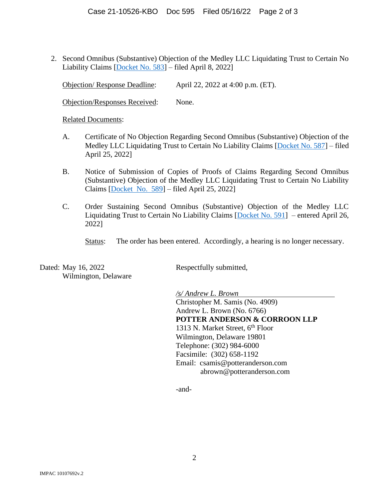2. Second Omnibus (Substantive) Objection of the Medley LLC Liquidating Trust to Certain No Liability Claims [\[Docket No. 583\]](https://ecf.deb.uscourts.gov/doc1/042020353353) – filed April 8, 2022]

Objection/ Response Deadline: April 22, 2022 at 4:00 p.m. (ET).

Objection/Responses Received: None.

Related Documents:

- A. Certificate of No Objection Regarding Second Omnibus (Substantive) Objection of the Medley LLC Liquidating Trust to Certain No Liability Claims [\[Docket No. 587\]](https://ecf.deb.uscourts.gov/doc1/042020375927) – filed April 25, 2022]
- B. Notice of Submission of Copies of Proofs of Claims Regarding Second Omnibus (Substantive) Objection of the Medley LLC Liquidating Trust to Certain No Liability Claims [\[Docket](https://ecf.deb.uscourts.gov/doc1/042020376069) No. 589] – filed April 25, 2022]
- C. Order Sustaining Second Omnibus (Substantive) Objection of the Medley LLC Liquidating Trust to Certain No Liability Claims [\[Docket No. 591\]](https://ecf.deb.uscourts.gov/doc1/042020377425) – entered April 26, 2022]

Status: The order has been entered. Accordingly, a hearing is no longer necessary.

Dated: May 16, 2022 Respectfully submitted, Wilmington, Delaware

*/s/ Andrew L. Brown*

Christopher M. Samis (No. 4909) Andrew L. Brown (No. 6766) **POTTER ANDERSON & CORROON LLP** 1313 N. Market Street,  $6<sup>th</sup>$  Floor Wilmington, Delaware 19801 Telephone: (302) 984-6000 Facsimile: (302) 658-1192 Email: csamis@potteranderson.com abrown@potteranderson.com

-and-